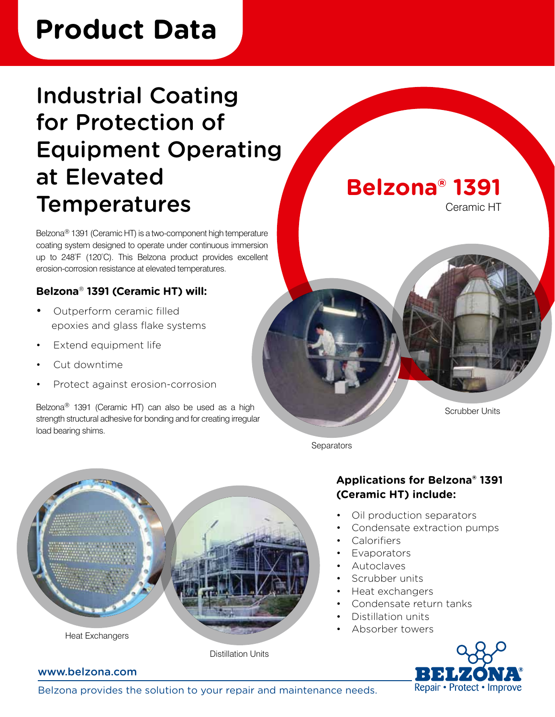# **Product Data**

# Industrial Coating for Protection of Equipment Operating at Elevated **Temperatures**

Belzona® 1391 (Ceramic HT) is a two-component high temperature coating system designed to operate under continuous immersion up to 248°F (120°C). This Belzona product provides excellent erosion-corrosion resistance at elevated temperatures.

### **Belzona**® **1391 (Ceramic HT) will:**

- Outperform ceramic filled epoxies and glass flake systems
- Extend equipment life
- Cut downtime
- Protect against erosion-corrosion

Belzona® 1391 (Ceramic HT) can also be used as a high strength structural adhesive for bonding and for creating irregular load bearing shims.



Ceramic HT



Scrubber Units

**Separators** 



### **Applications for Belzona® 1391 (Ceramic HT) include:**

- Oil production separators
- Condensate extraction pumps
- **Calorifiers**
- **Evaporators**
- Autoclaves
- Scrubber units
- Heat exchangers
- Condensate return tanks
- Distillation units
- Absorber towers



#### www.belzona.com

Belzona provides the solution to your repair and maintenance needs.